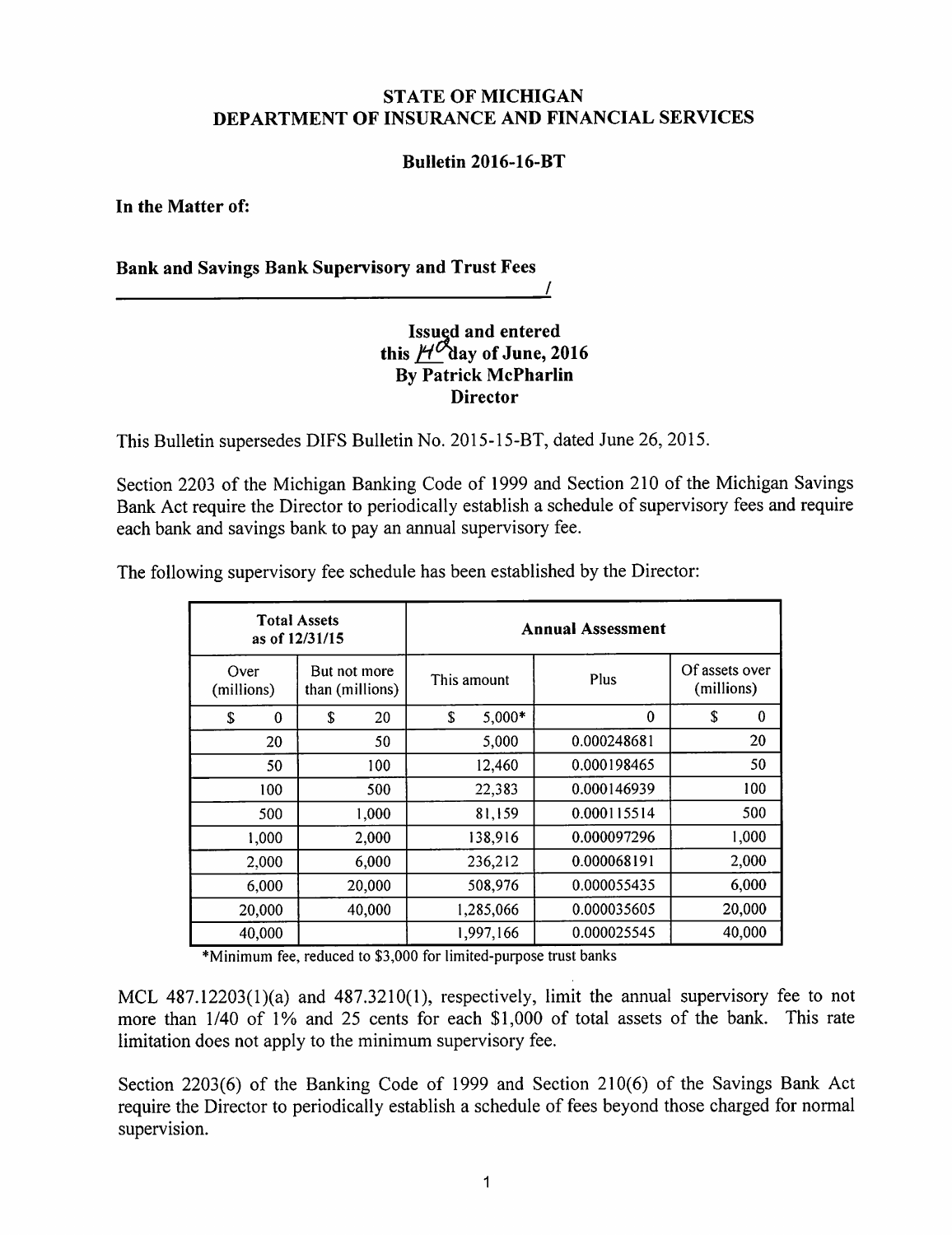## *STATE OF MICHIGAN DEPARTMENT OF INSURANCE AND FINANCIAL SERVICES*

## *Bulletin 2016-16-BT*

*In the Matter of:* 

*Bank and Savings Bank Supervisory and Trust Fees* 

## *Issued and entered*  this  $H^{\mathcal{O}}$  day of June, 2016 *By Patrick McPharlin Director*

*/* 

This Bulletin supersedes DIFS Bulletin No. 2015-15-BT, dated June 26, 2015.

Section 2203 of the Michigan Banking Code of 1999 and Section 210 of the Michigan Savings Bank Act require the Director to periodically establish a schedule of supervisory fees and require each bank and savings bank to pay an annual supervisory fee.

| <b>Total Assets</b><br>as of 12/31/15 |   |                                 | <b>Annual Assessment</b> |             |           |  |             |   |                              |  |
|---------------------------------------|---|---------------------------------|--------------------------|-------------|-----------|--|-------------|---|------------------------------|--|
| Over<br>(millions)                    |   | But not more<br>than (millions) |                          | This amount |           |  | Plus        |   | Of assets over<br>(millions) |  |
| \$                                    | 0 | S                               | 20                       | \$          | $5,000*$  |  | 0           | S | 0                            |  |
| 20                                    |   |                                 | 50                       |             | 5,000     |  | 0.000248681 |   | 20                           |  |
| 50                                    |   |                                 | 100                      |             | 12,460    |  | 0.000198465 |   | 50                           |  |
| 100                                   |   |                                 | 500                      |             | 22,383    |  | 0.000146939 |   | 100                          |  |
| 500                                   |   |                                 | 1,000                    |             | 81,159    |  | 0.000115514 |   | 500                          |  |
| 1,000                                 |   |                                 | 2,000                    |             | 138,916   |  | 0.000097296 |   | 1,000                        |  |
| 2,000                                 |   |                                 | 6,000                    |             | 236,212   |  | 0.000068191 |   | 2,000                        |  |
| 6,000                                 |   |                                 | 20,000                   |             | 508,976   |  | 0.000055435 |   | 6,000                        |  |
| 20,000                                |   |                                 | 40,000                   |             | 1,285,066 |  | 0.000035605 |   | 20,000                       |  |
| 40,000                                |   |                                 |                          |             | 1,997,166 |  | 0.000025545 |   | 40,000                       |  |

\*Minimum fee, reduced to \$3,000 for limited-purpose trust banks

MCL 487.12203(1)(a) and 487.3210(1), respectively, limit the annual supervisory fee to not more than 1/40 of 1% and 25 cents for each \$1,000 of total assets of the bank. This rate limitation does not apply to the minimum supervisory fee.

Section 2203(6) of the Banking Code of 1999 and Section 210(6) of the Savings Bank Act require the Director to periodically establish a schedule of fees beyond those charged for normal supervision.